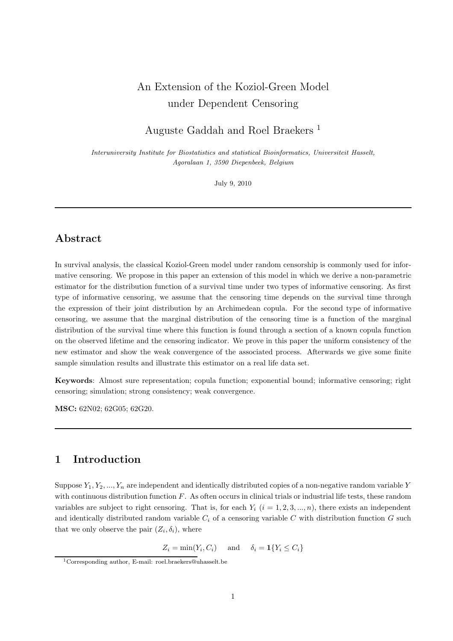# An Extension of the Koziol-Green Model under Dependent Censoring

# Auguste Gaddah and Roel Braekers <sup>1</sup>

Interuniversity Institute for Biostatistics and statistical Bioinformatics, Universiteit Hasselt, Agoralaan 1, 3590 Diepenbeek, Belgium

July 9, 2010

# Abstract

In survival analysis, the classical Koziol-Green model under random censorship is commonly used for informative censoring. We propose in this paper an extension of this model in which we derive a non-parametric estimator for the distribution function of a survival time under two types of informative censoring. As first type of informative censoring, we assume that the censoring time depends on the survival time through the expression of their joint distribution by an Archimedean copula. For the second type of informative censoring, we assume that the marginal distribution of the censoring time is a function of the marginal distribution of the survival time where this function is found through a section of a known copula function on the observed lifetime and the censoring indicator. We prove in this paper the uniform consistency of the new estimator and show the weak convergence of the associated process. Afterwards we give some finite sample simulation results and illustrate this estimator on a real life data set.

Keywords: Almost sure representation; copula function; exponential bound; informative censoring; right censoring; simulation; strong consistency; weak convergence.

MSC: 62N02; 62G05; 62G20.

# 1 Introduction

Suppose  $Y_1, Y_2, ..., Y_n$  are independent and identically distributed copies of a non-negative random variable Y with continuous distribution function  $F$ . As often occurs in clinical trials or industrial life tests, these random variables are subject to right censoring. That is, for each  $Y_i$   $(i = 1, 2, 3, ..., n)$ , there exists an independent and identically distributed random variable  $C_i$  of a censoring variable C with distribution function G such that we only observe the pair  $(Z_i, \delta_i)$ , where

 $Z_i = \min(Y_i, C_i)$  and  $\delta_i = \mathbf{1}\{Y_i \leq C_i\}$ 

<sup>1</sup>Corresponding author, E-mail: roel.braekers@uhasselt.be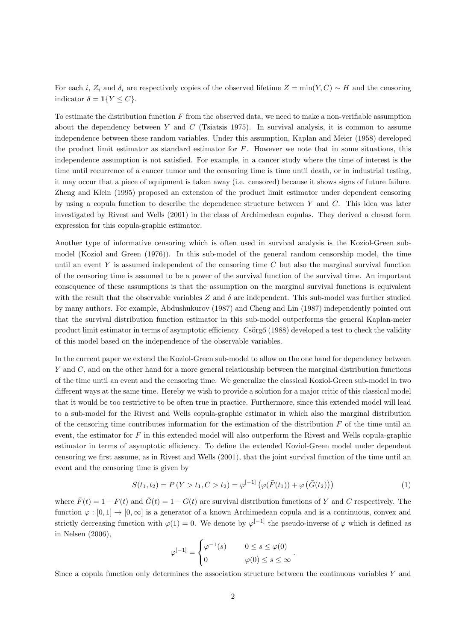For each i,  $Z_i$  and  $\delta_i$  are respectively copies of the observed lifetime  $Z = \min(Y, C) \sim H$  and the censoring indicator  $\delta = \mathbf{1}{Y \leq C}.$ 

To estimate the distribution function  $F$  from the observed data, we need to make a non-verifiable assumption about the dependency between Y and C (Tsiatsis 1975). In survival analysis, it is common to assume independence between these random variables. Under this assumption, Kaplan and Meier (1958) developed the product limit estimator as standard estimator for  $F$ . However we note that in some situations, this independence assumption is not satisfied. For example, in a cancer study where the time of interest is the time until recurrence of a cancer tumor and the censoring time is time until death, or in industrial testing, it may occur that a piece of equipment is taken away (i.e. censored) because it shows signs of future failure. Zheng and Klein (1995) proposed an extension of the product limit estimator under dependent censoring by using a copula function to describe the dependence structure between Y and C. This idea was later investigated by Rivest and Wells (2001) in the class of Archimedean copulas. They derived a closest form expression for this copula-graphic estimator.

Another type of informative censoring which is often used in survival analysis is the Koziol-Green submodel (Koziol and Green (1976)). In this sub-model of the general random censorship model, the time until an event Y is assumed independent of the censoring time  $C$  but also the marginal survival function of the censoring time is assumed to be a power of the survival function of the survival time. An important consequence of these assumptions is that the assumption on the marginal survival functions is equivalent with the result that the observable variables Z and  $\delta$  are independent. This sub-model was further studied by many authors. For example, Abdushukurov (1987) and Cheng and Lin (1987) independently pointed out that the survival distribution function estimator in this sub-model outperforms the general Kaplan-meier product limit estimator in terms of asymptotic efficiency. Csorgo (1988) developed a test to check the validity of this model based on the independence of the observable variables.

In the current paper we extend the Koziol-Green sub-model to allow on the one hand for dependency between Y and C, and on the other hand for a more general relationship between the marginal distribution functions of the time until an event and the censoring time. We generalize the classical Koziol-Green sub-model in two different ways at the same time. Hereby we wish to provide a solution for a major critic of this classical model that it would be too restrictive to be often true in practice. Furthermore, since this extended model will lead to a sub-model for the Rivest and Wells copula-graphic estimator in which also the marginal distribution of the censoring time contributes information for the estimation of the distribution  $F$  of the time until an event, the estimator for  $F$  in this extended model will also outperform the Rivest and Wells copula-graphic estimator in terms of asymptotic efficiency. To define the extended Koziol-Green model under dependent censoring we first assume, as in Rivest and Wells (2001), that the joint survival function of the time until an event and the censoring time is given by

$$
S(t_1, t_2) = P(Y > t_1, C > t_2) = \varphi^{[-1]} \left( \varphi(\bar{F}(t_1)) + \varphi(\bar{G}(t_2)) \right)
$$
\n(1)

where  $\bar{F}(t) = 1 - F(t)$  and  $\bar{G}(t) = 1 - G(t)$  are survival distribution functions of Y and C respectively. The function  $\varphi : [0, 1] \to [0, \infty]$  is a generator of a known Archimedean copula and is a continuous, convex and strictly decreasing function with  $\varphi(1) = 0$ . We denote by  $\varphi^{[-1]}$  the pseudo-inverse of  $\varphi$  which is defined as in Nelsen (2006),

$$
\varphi^{[-1]} = \begin{cases} \varphi^{-1}(s) & 0 \le s \le \varphi(0) \\ 0 & \varphi(0) \le s \le \infty \end{cases}.
$$

Since a copula function only determines the association structure between the continuous variables  $Y$  and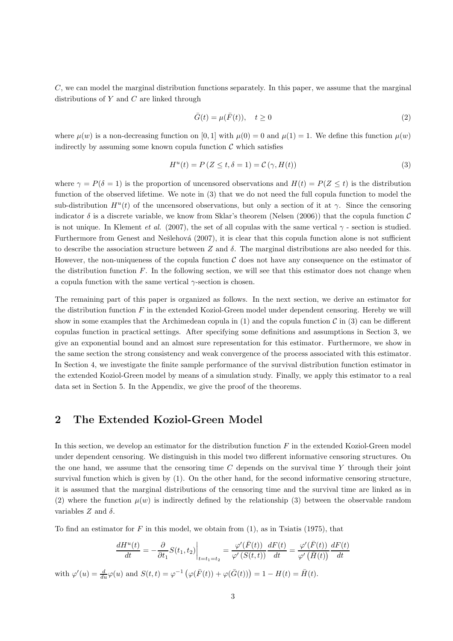C, we can model the marginal distribution functions separately. In this paper, we assume that the marginal distributions of  $Y$  and  $C$  are linked through

$$
\bar{G}(t) = \mu(\bar{F}(t)), \quad t \ge 0
$$
\n<sup>(2)</sup>

where  $\mu(w)$  is a non-decreasing function on [0, 1] with  $\mu(0) = 0$  and  $\mu(1) = 1$ . We define this function  $\mu(w)$ indirectly by assuming some known copula function  $\mathcal C$  which satisfies

$$
H^{u}(t) = P(Z \le t, \delta = 1) = C(\gamma, H(t))
$$
\n(3)

where  $\gamma = P(\delta = 1)$  is the proportion of uncensored observations and  $H(t) = P(Z \le t)$  is the distribution function of the observed lifetime. We note in (3) that we do not need the full copula function to model the sub-distribution  $H^u(t)$  of the uncensored observations, but only a section of it at  $\gamma$ . Since the censoring indicator  $\delta$  is a discrete variable, we know from Sklar's theorem (Nelsen (2006)) that the copula function  $\mathcal C$ is not unique. In Klement *et al.* (2007), the set of all copulas with the same vertical  $\gamma$  - section is studied. Furthermore from Genest and Nešlehová (2007), it is clear that this copula function alone is not sufficient to describe the association structure between Z and  $\delta$ . The marginal distributions are also needed for this. However, the non-uniqueness of the copula function  $\mathcal C$  does not have any consequence on the estimator of the distribution function  $F$ . In the following section, we will see that this estimator does not change when a copula function with the same vertical  $\gamma$ -section is chosen.

The remaining part of this paper is organized as follows. In the next section, we derive an estimator for the distribution function  $F$  in the extended Koziol-Green model under dependent censoring. Hereby we will show in some examples that the Archimedean copula in  $(1)$  and the copula function C in  $(3)$  can be different copulas function in practical settings. After specifying some definitions and assumptions in Section 3, we give an exponential bound and an almost sure representation for this estimator. Furthermore, we show in the same section the strong consistency and weak convergence of the process associated with this estimator. In Section 4, we investigate the finite sample performance of the survival distribution function estimator in the extended Koziol-Green model by means of a simulation study. Finally, we apply this estimator to a real data set in Section 5. In the Appendix, we give the proof of the theorems.

#### 2 The Extended Koziol-Green Model

In this section, we develop an estimator for the distribution function  $F$  in the extended Koziol-Green model under dependent censoring. We distinguish in this model two different informative censoring structures. On the one hand, we assume that the censoring time  $C$  depends on the survival time  $Y$  through their joint survival function which is given by (1). On the other hand, for the second informative censoring structure, it is assumed that the marginal distributions of the censoring time and the survival time are linked as in (2) where the function  $\mu(w)$  is indirectly defined by the relationship (3) between the observable random variables  $Z$  and  $\delta$ .

To find an estimator for  $F$  in this model, we obtain from  $(1)$ , as in Tsiatis (1975), that

$$
\frac{dH^{u}(t)}{dt} = -\frac{\partial}{\partial t_1} S(t_1, t_2) \Big|_{t=t_1=t_2} = \frac{\varphi'(\bar{F}(t))}{\varphi'(\bar{S}(t, t))} \frac{dF(t)}{dt} = \frac{\varphi'(\bar{F}(t))}{\varphi'(\bar{H}(t))} \frac{dF(t)}{dt}
$$

with  $\varphi'(u) = \frac{d}{du}\varphi(u)$  and  $S(t,t) = \varphi^{-1}(\varphi(\overline{F}(t)) + \varphi(\overline{G}(t))) = 1 - H(t) = \overline{H}(t)$ .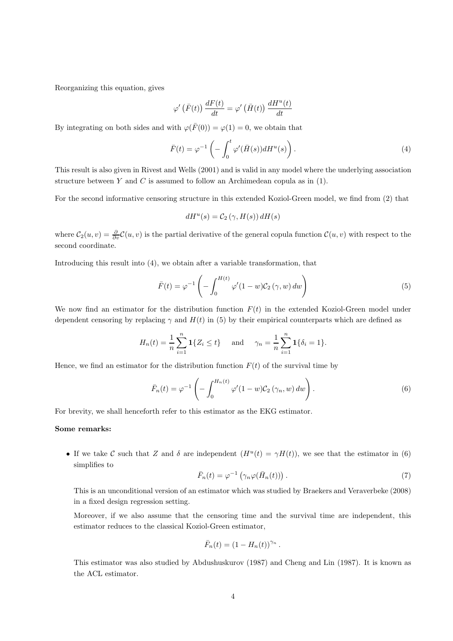Reorganizing this equation, gives

$$
\varphi'\left(\bar{F}(t)\right) \frac{dF(t)}{dt} = \varphi'\left(\bar{H}(t)\right) \frac{dH^u(t)}{dt}
$$

By integrating on both sides and with  $\varphi(\bar{F}(0)) = \varphi(1) = 0$ , we obtain that

$$
\bar{F}(t) = \varphi^{-1}\left(-\int_0^t \varphi'(\bar{H}(s))dH^u(s)\right).
$$
\n(4)

This result is also given in Rivest and Wells (2001) and is valid in any model where the underlying association structure between  $Y$  and  $C$  is assumed to follow an Archimedean copula as in (1).

For the second informative censoring structure in this extended Koziol-Green model, we find from (2) that

$$
dH^{u}(s) = C_{2}(\gamma, H(s)) dH(s)
$$

where  $C_2(u, v) = \frac{\partial}{\partial v}C(u, v)$  is the partial derivative of the general copula function  $C(u, v)$  with respect to the second coordinate.

Introducing this result into (4), we obtain after a variable transformation, that

$$
\bar{F}(t) = \varphi^{-1}\left(-\int_0^{H(t)} \varphi'(1-w)\mathcal{C}_2(\gamma, w) \, dw\right) \tag{5}
$$

We now find an estimator for the distribution function  $F(t)$  in the extended Koziol-Green model under dependent censoring by replacing  $\gamma$  and  $H(t)$  in (5) by their empirical counterparts which are defined as

$$
H_n(t) = \frac{1}{n} \sum_{i=1}^n \mathbf{1}\{Z_i \le t\} \quad \text{and} \quad \gamma_n = \frac{1}{n} \sum_{i=1}^n \mathbf{1}\{\delta_i = 1\}.
$$

Hence, we find an estimator for the distribution function  $F(t)$  of the survival time by

$$
\bar{F}_n(t) = \varphi^{-1}\left(-\int_0^{H_n(t)} \varphi'(1-w)\mathcal{C}_2\left(\gamma_n, w\right) dw\right).
$$
\n(6)

For brevity, we shall henceforth refer to this estimator as the EKG estimator.

#### Some remarks:

• If we take C such that Z and  $\delta$  are independent  $(H^u(t) = \gamma H(t))$ , we see that the estimator in (6) simplifies to

$$
\bar{F}_n(t) = \varphi^{-1} \left( \gamma_n \varphi(\bar{H}_n(t)) \right). \tag{7}
$$

This is an unconditional version of an estimator which was studied by Braekers and Veraverbeke (2008) in a fixed design regression setting.

Moreover, if we also assume that the censoring time and the survival time are independent, this estimator reduces to the classical Koziol-Green estimator,

$$
\bar{F}_n(t) = (1 - H_n(t))^{\gamma_n}.
$$

This estimator was also studied by Abdushuskurov (1987) and Cheng and Lin (1987). It is known as the ACL estimator.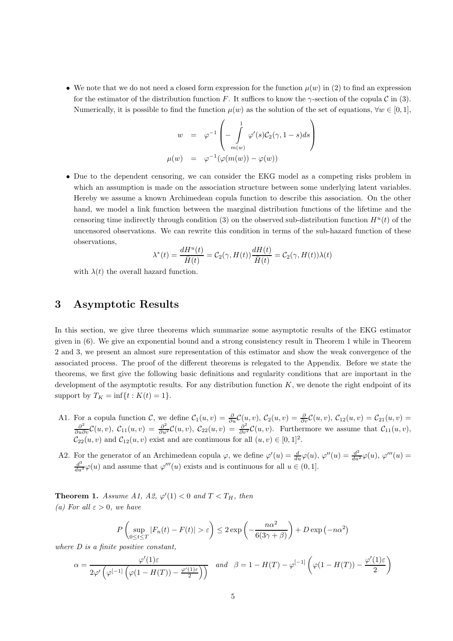• We note that we do not need a closed form expression for the function  $\mu(w)$  in (2) to find an expression for the estimator of the distribution function F. It suffices to know the  $\gamma$ -section of the copula C in (3). Numerically, it is possible to find the function  $\mu(w)$  as the solution of the set of equations,  $\forall w \in [0,1]$ ,

$$
w = \varphi^{-1}\left(-\int_{m(w)}^{1} \varphi'(s)\mathcal{C}_2(\gamma, 1-s)ds\right)
$$
  

$$
\mu(w) = \varphi^{-1}(\varphi(m(w)) - \varphi(w))
$$

• Due to the dependent censoring, we can consider the EKG model as a competing risks problem in which an assumption is made on the association structure between some underlying latent variables. Hereby we assume a known Archimedean copula function to describe this association. On the other hand, we model a link function between the marginal distribution functions of the lifetime and the censoring time indirectly through condition (3) on the observed sub-distribution function  $H^u(t)$  of the uncensored observations. We can rewrite this condition in terms of the sub-hazard function of these observations,

$$
\lambda^*(t) = \frac{dH^u(t)}{\bar{H}(t)} = C_2(\gamma, H(t)) \frac{dH(t)}{\bar{H}(t)} = C_2(\gamma, H(t)) \lambda(t)
$$

with  $\lambda(t)$  the overall hazard function.

### 3 Asymptotic Results

In this section, we give three theorems which summarize some asymptotic results of the EKG estimator given in (6). We give an exponential bound and a strong consistency result in Theorem 1 while in Theorem 2 and 3, we present an almost sure representation of this estimator and show the weak convergence of the associated process. The proof of the different theorems is relegated to the Appendix. Before we state the theorems, we first give the following basic definitions and regularity conditions that are important in the development of the asymptotic results. For any distribution function  $K$ , we denote the right endpoint of its support by  $T_K = \inf\{t : K(t) = 1\}.$ 

- A1. For a copula function C, we define  $C_1(u, v) = \frac{\partial}{\partial u} C(u, v)$ ,  $C_2(u, v) = \frac{\partial}{\partial v} C(u, v)$ ,  $C_{12}(u, v) = C_{21}(u, v) = \frac{\partial^2}{\partial u \partial v} C(u, v)$ ,  $C_{11}(u, v) = \frac{\partial^2}{\partial u^2} C(u, v)$ ,  $C_{22}(u, v) = \frac{\partial^2}{\partial v^2} C(u, v)$ . Furthermore we assume t  $\mathcal{C}_{22}(u, v)$  and  $\mathcal{C}_{12}(u, v)$  exist and are continuous for all  $(u, v) \in [0, 1]^2$ .
- A2. For the generator of an Archimedean copula  $\varphi$ , we define  $\varphi'(u) = \frac{d}{du}\varphi(u)$ ,  $\varphi''(u) = \frac{d^2}{du^2}\varphi(u)$ ,  $\varphi'''(u) =$  $\frac{d^3}{du^3}\varphi(u)$  and assume that  $\varphi'''(u)$  exists and is continuous for all  $u \in (0,1]$ .

**Theorem 1.** Assume A1, A2,  $\varphi'(1) < 0$  and  $T < T_H$ , then *(a)* For all  $\varepsilon > 0$ *, we have* 

$$
P\left(\sup_{0\leq t\leq T}|F_n(t)-F(t)|>\varepsilon\right)\leq 2\exp\left(-\frac{n\alpha^2}{6(3\gamma+\beta)}\right)+D\exp\left(-n\alpha^2\right)
$$

*where D is a finite positive constant,*

$$
\alpha = \frac{\varphi'(1)\varepsilon}{2\varphi'\left(\varphi^{[-1]}\left(\varphi(1-H(T)) - \frac{\varphi'(1)\varepsilon}{2}\right)\right)} \quad \text{and} \quad \beta = 1 - H(T) - \varphi^{[-1]}\left(\varphi(1-H(T)) - \frac{\varphi'(1)\varepsilon}{2}\right)
$$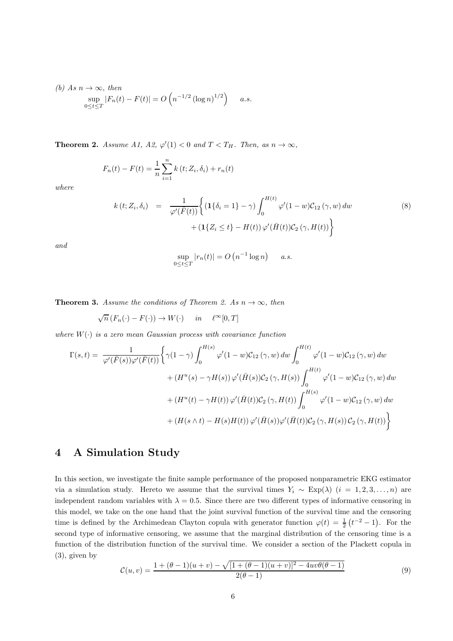(b) As 
$$
n \to \infty
$$
, then  
\n
$$
\sup_{0 \le t \le T} |F_n(t) - F(t)| = O\left(n^{-1/2} (\log n)^{1/2}\right) \quad a.s.
$$

**Theorem 2.** *Assume A1, A2,*  $\varphi'(1) < 0$  *and*  $T < T_H$ *. Then, as*  $n \to \infty$ *,* 

$$
F_n(t) - F(t) = \frac{1}{n} \sum_{i=1}^n k(t; Z_i, \delta_i) + r_n(t)
$$

*where*

$$
k(t; Z_i, \delta_i) = \frac{1}{\varphi'(\overline{F}(t))} \Biggl\{ \left( \mathbf{1} \{ \delta_i = 1 \} - \gamma \right) \int_0^{H(t)} \varphi'(1 - w) \mathcal{C}_{12} \left( \gamma, w \right) dw + \left( \mathbf{1} \{ Z_i \le t \} - H(t) \right) \varphi'(\overline{H}(t)) \mathcal{C}_2 \left( \gamma, H(t) \right) \Biggr\}
$$
(8)

*and*

$$
\sup_{0 \le t \le T} |r_n(t)| = O\left(n^{-1} \log n\right) \quad a.s.
$$

**Theorem 3.** Assume the conditions of Theorem 2. As  $n \to \infty$ , then

$$
\sqrt{n}\left(F_n(\cdot) - F(\cdot)\right) \to W(\cdot) \quad in \quad \ell^{\infty}[0, T]
$$

*where* W(·) *is a zero mean Gaussian process with covariance function*

$$
\Gamma(s,t) = \frac{1}{\varphi'(\bar{F}(s))\varphi'(\bar{F}(t))} \Biggl\{ \gamma(1-\gamma) \int_0^{H(s)} \varphi'(1-w) \mathcal{C}_{12}(\gamma,w) \, dw \int_0^{H(t)} \varphi'(1-w) \mathcal{C}_{12}(\gamma,w) \, dw + (H^u(s) - \gamma H(s)) \varphi'(\bar{H}(s)) \mathcal{C}_2(\gamma, H(s)) \int_0^{H(t)} \varphi'(1-w) \mathcal{C}_{12}(\gamma,w) \, dw + (H^u(t) - \gamma H(t)) \varphi'(\bar{H}(t)) \mathcal{C}_2(\gamma, H(t)) \int_0^{H(s)} \varphi'(1-w) \mathcal{C}_{12}(\gamma,w) \, dw + (H(s \wedge t) - H(s)H(t)) \varphi'(\bar{H}(s)) \varphi'(\bar{H}(t)) \mathcal{C}_2(\gamma, H(s)) \mathcal{C}_2(\gamma, H(t)) \Biggr\}
$$

### 4 A Simulation Study

In this section, we investigate the finite sample performance of the proposed nonparametric EKG estimator via a simulation study. Hereto we assume that the survival times  $Y_i \sim \text{Exp}(\lambda)$   $(i = 1, 2, 3, ..., n)$  are independent random variables with  $\lambda = 0.5$ . Since there are two different types of informative censoring in this model, we take on the one hand that the joint survival function of the survival time and the censoring time is defined by the Archimedean Clayton copula with generator function  $\varphi(t) = \frac{1}{2}(t^{-2} - 1)$ . For the second type of informative censoring, we assume that the marginal distribution of the censoring time is a function of the distribution function of the survival time. We consider a section of the Plackett copula in (3), given by

$$
\mathcal{C}(u,v) = \frac{1 + (\theta - 1)(u+v) - \sqrt{[1 + (\theta - 1)(u+v)]^2 - 4uv\theta(\theta - 1)}}{2(\theta - 1)}
$$
(9)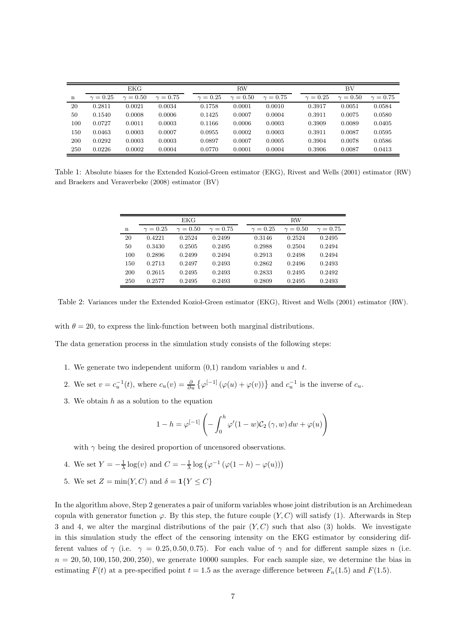|     | EKG-            |                 |                 |                 | <b>RW</b>       |                 |  | <b>BV</b>       |                 |                 |
|-----|-----------------|-----------------|-----------------|-----------------|-----------------|-----------------|--|-----------------|-----------------|-----------------|
| n   | $\gamma = 0.25$ | $\gamma = 0.50$ | $\gamma = 0.75$ | $\gamma = 0.25$ | $\gamma = 0.50$ | $\gamma = 0.75$ |  | $\gamma = 0.25$ | $\gamma = 0.50$ | $\gamma = 0.75$ |
| 20  | 0.2811          | 0.0021          | 0.0034          | 0.1758          | 0.0001          | 0.0010          |  | 0.3917          | 0.0051          | 0.0584          |
| 50  | 0.1540          | 0.0008          | 0.0006          | 0.1425          | 0.0007          | 0.0004          |  | 0.3911          | 0.0075          | 0.0580          |
| 100 | 0.0727          | 0.0011          | 0.0003          | 0.1166          | 0.0006          | 0.0003          |  | 0.3909          | 0.0089          | 0.0405          |
| 150 | 0.0463          | 0.0003          | 0.0007          | 0.0955          | 0.0002          | 0.0003          |  | 0.3911          | 0.0087          | 0.0595          |
| 200 | 0.0292          | 0.0003          | 0.0003          | 0.0897          | 0.0007          | 0.0005          |  | 0.3904          | 0.0078          | 0.0586          |
| 250 | 0.0226          | 0.0002          | 0.0004          | 0.0770          | 0.0001          | 0.0004          |  | 0.3906          | 0.0087          | 0.0413          |

Table 1: Absolute biases for the Extended Koziol-Green estimator (EKG), Rivest and Wells (2001) estimator (RW) and Braekers and Veraverbeke (2008) estimator (BV)

|             |                 | EKG             |               | <b>RW</b>     |                 |               |  |
|-------------|-----------------|-----------------|---------------|---------------|-----------------|---------------|--|
| $\mathbf n$ | $\gamma = 0.25$ | $\gamma = 0.50$ | $\gamma=0.75$ | $\gamma=0.25$ | $\gamma = 0.50$ | $\gamma=0.75$ |  |
| 20          | 0.4221          | 0.2524          | 0.2499        | 0.3146        | 0.2524          | 0.2495        |  |
| 50          | 0.3430          | 0.2505          | 0.2495        | 0.2988        | 0.2504          | 0.2494        |  |
| 100         | 0.2896          | 0.2499          | 0.2494        | 0.2913        | 0.2498          | 0.2494        |  |
| 150         | 0.2713          | 0.2497          | 0.2493        | 0.2862        | 0.2496          | 0.2493        |  |
| 200         | 0.2615          | 0.2495          | 0.2493        | 0.2833        | 0.2495          | 0.2492        |  |
| 250         | 0.2577          | 0.2495          | 0.2493        | 0.2809        | 0.2495          | 0.2493        |  |

Table 2: Variances under the Extended Koziol-Green estimator (EKG), Rivest and Wells (2001) estimator (RW).

with  $\theta = 20$ , to express the link-function between both marginal distributions.

The data generation process in the simulation study consists of the following steps:

- 1. We generate two independent uniform  $(0,1)$  random variables u and t.
- 2. We set  $v = c_u^{-1}(t)$ , where  $c_u(v) = \frac{\partial}{\partial u} \{ \varphi^{[-1]} (\varphi(u) + \varphi(v)) \}$  and  $c_u^{-1}$  is the inverse of  $c_u$ .
- 3. We obtain  $h$  as a solution to the equation

$$
1 - h = \varphi^{[-1]} \left( - \int_0^h \varphi'(1 - w) \mathcal{C}_2(\gamma, w) \, dw + \varphi(u) \right)
$$

with  $\gamma$  being the desired proportion of uncensored observations.

- 4. We set  $Y = -\frac{1}{\lambda} \log(v)$  and  $C = -\frac{1}{\lambda} \log(\varphi^{-1}(\varphi(1-h) \varphi(u)))$
- 5. We set  $Z = \min(Y, C)$  and  $\delta = \mathbf{1}\{Y \leq C\}$

In the algorithm above, Step 2 generates a pair of uniform variables whose joint distribution is an Archimedean copula with generator function  $\varphi$ . By this step, the future couple  $(Y, C)$  will satisfy (1). Afterwards in Step 3 and 4, we alter the marginal distributions of the pair  $(Y, C)$  such that also (3) holds. We investigate in this simulation study the effect of the censoring intensity on the EKG estimator by considering different values of  $\gamma$  (i.e.  $\gamma = 0.25, 0.50, 0.75$ ). For each value of  $\gamma$  and for different sample sizes n (i.e.  $n = 20, 50, 100, 150, 200, 250$ , we generate 10000 samples. For each sample size, we determine the bias in estimating  $F(t)$  at a pre-specified point  $t = 1.5$  as the average difference between  $F_n(1.5)$  and  $F(1.5)$ .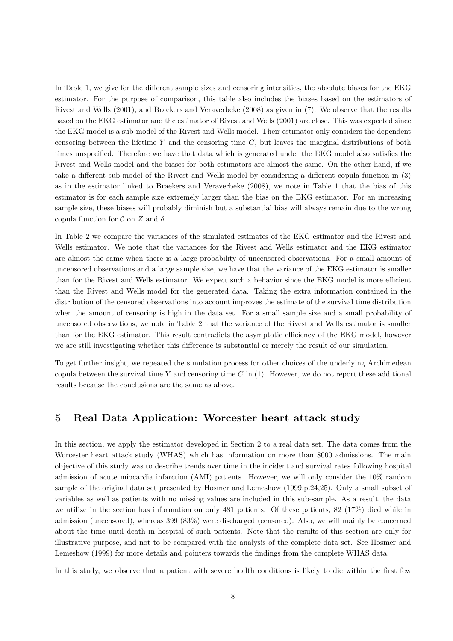In Table 1, we give for the different sample sizes and censoring intensities, the absolute biases for the EKG estimator. For the purpose of comparison, this table also includes the biases based on the estimators of Rivest and Wells (2001), and Braekers and Veraverbeke (2008) as given in (7). We observe that the results based on the EKG estimator and the estimator of Rivest and Wells (2001) are close. This was expected since the EKG model is a sub-model of the Rivest and Wells model. Their estimator only considers the dependent censoring between the lifetime Y and the censoring time  $C$ , but leaves the marginal distributions of both times unspecified. Therefore we have that data which is generated under the EKG model also satisfies the Rivest and Wells model and the biases for both estimators are almost the same. On the other hand, if we take a different sub-model of the Rivest and Wells model by considering a different copula function in (3) as in the estimator linked to Braekers and Veraverbeke (2008), we note in Table 1 that the bias of this estimator is for each sample size extremely larger than the bias on the EKG estimator. For an increasing sample size, these biases will probably diminish but a substantial bias will always remain due to the wrong copula function for  $\mathcal C$  on  $Z$  and  $\delta$ .

In Table 2 we compare the variances of the simulated estimates of the EKG estimator and the Rivest and Wells estimator. We note that the variances for the Rivest and Wells estimator and the EKG estimator are almost the same when there is a large probability of uncensored observations. For a small amount of uncensored observations and a large sample size, we have that the variance of the EKG estimator is smaller than for the Rivest and Wells estimator. We expect such a behavior since the EKG model is more efficient than the Rivest and Wells model for the generated data. Taking the extra information contained in the distribution of the censored observations into account improves the estimate of the survival time distribution when the amount of censoring is high in the data set. For a small sample size and a small probability of uncensored observations, we note in Table 2 that the variance of the Rivest and Wells estimator is smaller than for the EKG estimator. This result contradicts the asymptotic efficiency of the EKG model, however we are still investigating whether this difference is substantial or merely the result of our simulation.

To get further insight, we repeated the simulation process for other choices of the underlying Archimedean copula between the survival time Y and censoring time  $C$  in (1). However, we do not report these additional results because the conclusions are the same as above.

#### 5 Real Data Application: Worcester heart attack study

In this section, we apply the estimator developed in Section 2 to a real data set. The data comes from the Worcester heart attack study (WHAS) which has information on more than 8000 admissions. The main objective of this study was to describe trends over time in the incident and survival rates following hospital admission of acute miocardia infarction (AMI) patients. However, we will only consider the 10% random sample of the original data set presented by Hosmer and Lemeshow (1999,p.24,25). Only a small subset of variables as well as patients with no missing values are included in this sub-sample. As a result, the data we utilize in the section has information on only 481 patients. Of these patients, 82 (17%) died while in admission (uncensored), whereas 399 (83%) were discharged (censored). Also, we will mainly be concerned about the time until death in hospital of such patients. Note that the results of this section are only for illustrative purpose, and not to be compared with the analysis of the complete data set. See Hosmer and Lemeshow (1999) for more details and pointers towards the findings from the complete WHAS data.

In this study, we observe that a patient with severe health conditions is likely to die within the first few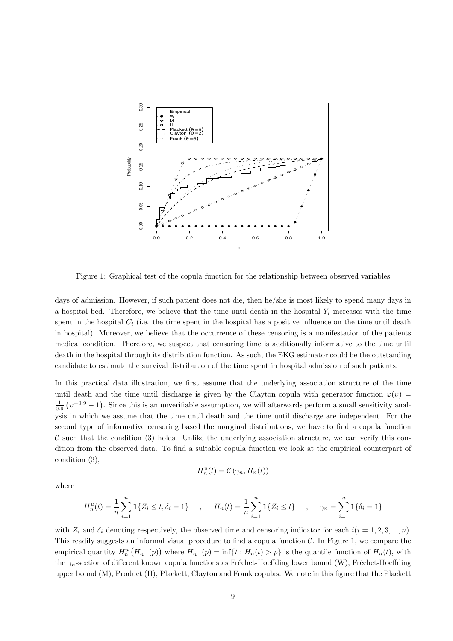

Figure 1: Graphical test of the copula function for the relationship between observed variables

days of admission. However, if such patient does not die, then he/she is most likely to spend many days in a hospital bed. Therefore, we believe that the time until death in the hospital  $Y_i$  increases with the time spent in the hospital  $C_i$  (i.e. the time spent in the hospital has a positive influence on the time until death in hospital). Moreover, we believe that the occurrence of these censoring is a manifestation of the patients medical condition. Therefore, we suspect that censoring time is additionally informative to the time until death in the hospital through its distribution function. As such, the EKG estimator could be the outstanding candidate to estimate the survival distribution of the time spent in hospital admission of such patients.

In this practical data illustration, we first assume that the underlying association structure of the time until death and the time until discharge is given by the Clayton copula with generator function  $\varphi(v)$  $\frac{1}{0.9}$   $(v^{-0.9} - 1)$ . Since this is an unverifiable assumption, we will afterwards perform a small sensitivity analysis in which we assume that the time until death and the time until discharge are independent. For the second type of informative censoring based the marginal distributions, we have to find a copula function  $\mathcal C$  such that the condition (3) holds. Unlike the underlying association structure, we can verify this condition from the observed data. To find a suitable copula function we look at the empirical counterpart of condition (3),

$$
H_n^u(t) = \mathcal{C}(\gamma_n, H_n(t))
$$

where

$$
H_n^u(t) = \frac{1}{n} \sum_{i=1}^n \mathbf{1}\{Z_i \le t, \delta_i = 1\} \quad , \quad H_n(t) = \frac{1}{n} \sum_{i=1}^n \mathbf{1}\{Z_i \le t\} \quad , \quad \gamma_n = \sum_{i=1}^n \mathbf{1}\{\delta_i = 1\}
$$

with  $Z_i$  and  $\delta_i$  denoting respectively, the observed time and censoring indicator for each  $i(i = 1, 2, 3, ..., n)$ . This readily suggests an informal visual procedure to find a copula function  $C$ . In Figure 1, we compare the empirical quantity  $H_n^u(H_n^{-1}(p))$  where  $H_n^{-1}(p) = \inf\{t : H_n(t) > p\}$  is the quantile function of  $H_n(t)$ , with the  $\gamma_n$ -section of different known copula functions as Fréchet-Hoeffding lower bound (W), Fréchet-Hoeffding upper bound (M), Product (Π), Plackett, Clayton and Frank copulas. We note in this figure that the Plackett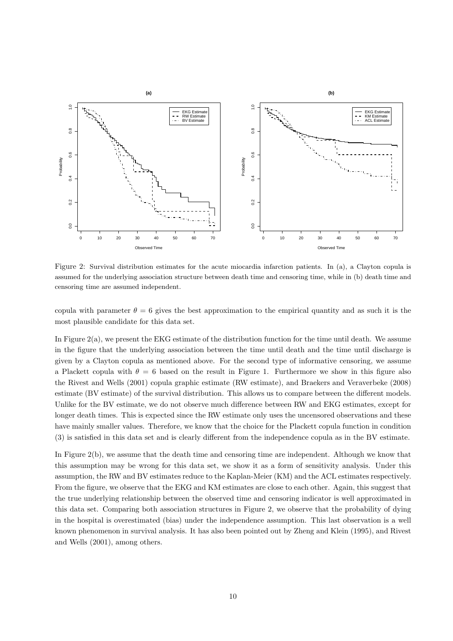

Figure 2: Survival distribution estimates for the acute miocardia infarction patients. In (a), a Clayton copula is assumed for the underlying association structure between death time and censoring time, while in (b) death time and censoring time are assumed independent.

copula with parameter  $\theta = 6$  gives the best approximation to the empirical quantity and as such it is the most plausible candidate for this data set.

In Figure 2(a), we present the EKG estimate of the distribution function for the time until death. We assume in the figure that the underlying association between the time until death and the time until discharge is given by a Clayton copula as mentioned above. For the second type of informative censoring, we assume a Plackett copula with  $\theta = 6$  based on the result in Figure 1. Furthermore we show in this figure also the Rivest and Wells (2001) copula graphic estimate (RW estimate), and Braekers and Veraverbeke (2008) estimate (BV estimate) of the survival distribution. This allows us to compare between the different models. Unlike for the BV estimate, we do not observe much difference between RW and EKG estimates, except for longer death times. This is expected since the RW estimate only uses the uncensored observations and these have mainly smaller values. Therefore, we know that the choice for the Plackett copula function in condition (3) is satisfied in this data set and is clearly different from the independence copula as in the BV estimate.

In Figure 2(b), we assume that the death time and censoring time are independent. Although we know that this assumption may be wrong for this data set, we show it as a form of sensitivity analysis. Under this assumption, the RW and BV estimates reduce to the Kaplan-Meier (KM) and the ACL estimates respectively. From the figure, we observe that the EKG and KM estimates are close to each other. Again, this suggest that the true underlying relationship between the observed time and censoring indicator is well approximated in this data set. Comparing both association structures in Figure 2, we observe that the probability of dying in the hospital is overestimated (bias) under the independence assumption. This last observation is a well known phenomenon in survival analysis. It has also been pointed out by Zheng and Klein (1995), and Rivest and Wells (2001), among others.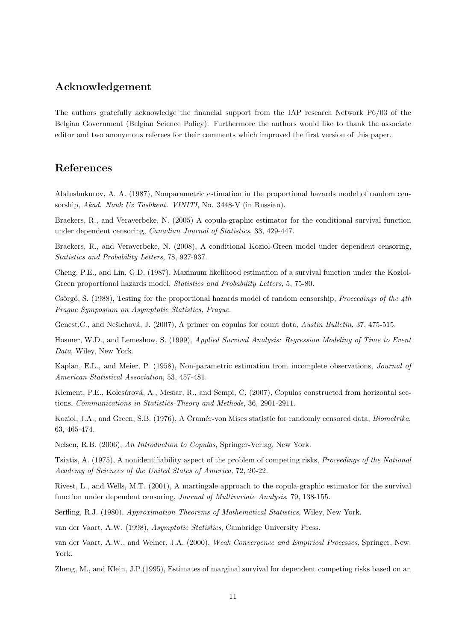### Acknowledgement

The authors gratefully acknowledge the financial support from the IAP research Network P6/03 of the Belgian Government (Belgian Science Policy). Furthermore the authors would like to thank the associate editor and two anonymous referees for their comments which improved the first version of this paper.

## References

Abdushukurov, A. A. (1987), Nonparametric estimation in the proportional hazards model of random censorship, *Akad. Nauk Uz Tashkent. VINITI*, No. 3448-V (in Russian).

Braekers, R., and Veraverbeke, N. (2005) A copula-graphic estimator for the conditional survival function under dependent censoring, *Canadian Journal of Statistics*, 33, 429-447.

Braekers, R., and Veraverbeke, N. (2008), A conditional Koziol-Green model under dependent censoring, *Statistics and Probability Letters*, 78, 927-937.

Cheng, P.E., and Lin, G.D. (1987), Maximum likelihood estimation of a survival function under the Koziol-Green proportional hazards model, *Statistics and Probability Letters*, 5, 75-80.

Csörgó, S. (1988), Testing for the proportional hazards model of random censorship, *Proceedings of the 4th Prague Symposium on Asymptotic Statistics, Prague*.

Genest, C., and Nešlehová, J. (2007), A primer on copulas for count data, *Austin Bulletin*, 37, 475-515.

Hosmer, W.D., and Lemeshow, S. (1999), *Applied Survival Analysis: Regression Modeling of Time to Event Data*, Wiley, New York.

Kaplan, E.L., and Meier, P. (1958), Non-parametric estimation from incomplete observations, *Journal of American Statistical Association*, 53, 457-481.

Klement, P.E., Kolesárová, A., Mesiar, R., and Sempi, C. (2007), Copulas constructed from horizontal sections, *Communications in Statistics-Theory and Methods*, 36, 2901-2911.

Koziol, J.A., and Green, S.B. (1976), A Cram´er-von Mises statistic for randomly censored data, *Biometrika*, 63, 465-474.

Nelsen, R.B. (2006), *An Introduction to Copulas*, Springer-Verlag, New York.

Tsiatis, A. (1975), A nonidentifiability aspect of the problem of competing risks, *Proceedings of the National Academy of Sciences of the United States of America*, 72, 20-22.

Rivest, L., and Wells, M.T. (2001), A martingale approach to the copula-graphic estimator for the survival function under dependent censoring, *Journal of Multivariate Analysis*, 79, 138-155.

Serfling, R.J. (1980), *Approximation Theorems of Mathematical Statistics*, Wiley, New York.

van der Vaart, A.W. (1998), *Asymptotic Statistics*, Cambridge University Press.

van der Vaart, A.W., and Welner, J.A. (2000), *Weak Convergence and Empirical Processes*, Springer, New. York.

Zheng, M., and Klein, J.P.(1995), Estimates of marginal survival for dependent competing risks based on an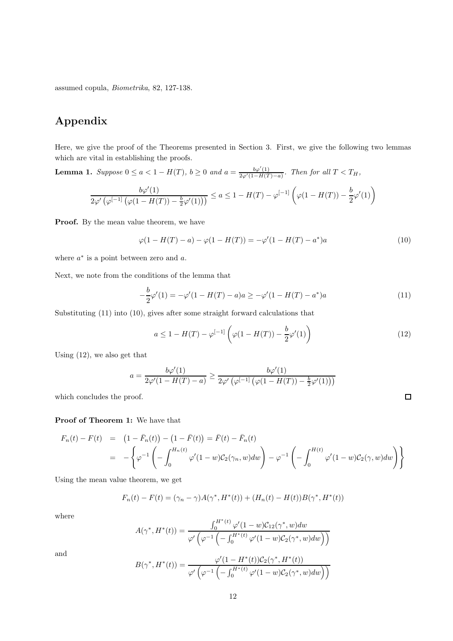assumed copula, *Biometrika*, 82, 127-138.

# Appendix

Here, we give the proof of the Theorems presented in Section 3. First, we give the following two lemmas which are vital in establishing the proofs.

**Lemma 1.** Suppose  $0 \le a < 1 - H(T)$ ,  $b \ge 0$  and  $a = \frac{b\varphi'(1)}{2\varphi'(1-H(T)-a)}$ . Then for all  $T < T_H$ ,

$$
\frac{b\varphi'(1)}{2\varphi'\left(\varphi^{[-1]}\left(\varphi(1-H(T))-\frac{b}{2}\varphi'(1)\right)\right)}\leq a\leq 1-H(T)-\varphi^{[-1]}\left(\varphi(1-H(T))-\frac{b}{2}\varphi'(1)\right)
$$

Proof. By the mean value theorem, we have

$$
\varphi(1 - H(T) - a) - \varphi(1 - H(T)) = -\varphi'(1 - H(T) - a^*)a \tag{10}
$$

where  $a^*$  is a point between zero and  $a$ .

Next, we note from the conditions of the lemma that

$$
-\frac{b}{2}\varphi'(1) = -\varphi'(1 - H(T) - a)a \ge -\varphi'(1 - H(T) - a^*)a \tag{11}
$$

Substituting (11) into (10), gives after some straight forward calculations that

$$
a \le 1 - H(T) - \varphi^{[-1]} \left( \varphi(1 - H(T)) - \frac{b}{2} \varphi'(1) \right)
$$
 (12)

 $\Box$ 

Using (12), we also get that

$$
a = \frac{b\varphi'(1)}{2\varphi'(1 - H(T) - a)} \ge \frac{b\varphi'(1)}{2\varphi'\left(\varphi^{[-1]}\left(\varphi(1 - H(T)) - \frac{b}{2}\varphi'(1)\right)\right)}
$$

which concludes the proof.

#### Proof of Theorem 1: We have that

$$
F_n(t) - F(t) = (1 - \bar{F}_n(t)) - (1 - \bar{F}(t)) = \bar{F}(t) - \bar{F}_n(t)
$$
  
= 
$$
-\left\{ \varphi^{-1} \left( -\int_0^{H_n(t)} \varphi'(1 - w) C_2(\gamma_n, w) dw \right) - \varphi^{-1} \left( -\int_0^{H(t)} \varphi'(1 - w) C_2(\gamma, w) dw \right) \right\}
$$

Using the mean value theorem, we get

$$
F_n(t) - F(t) = (\gamma_n - \gamma)A(\gamma^*, H^*(t)) + (H_n(t) - H(t))B(\gamma^*, H^*(t))
$$

where

$$
A(\gamma^*, H^*(t)) = \frac{\int_0^{H^*(t)} \varphi'(1-w) \mathcal{C}_{12}(\gamma^*, w) dw}{\varphi'(\varphi^{-1}\left(-\int_0^{H^*(t)} \varphi'(1-w) \mathcal{C}_2(\gamma^*, w) dw\right))}
$$

and

$$
B(\gamma^*, H^*(t)) = \frac{\varphi'(1 - H^*(t))C_2(\gamma^*, H^*(t))}{\varphi'\left(\varphi^{-1}\left(-\int_0^{H^*(t)} \varphi'(1-w)C_2(\gamma^*, w)dw\right)\right)}
$$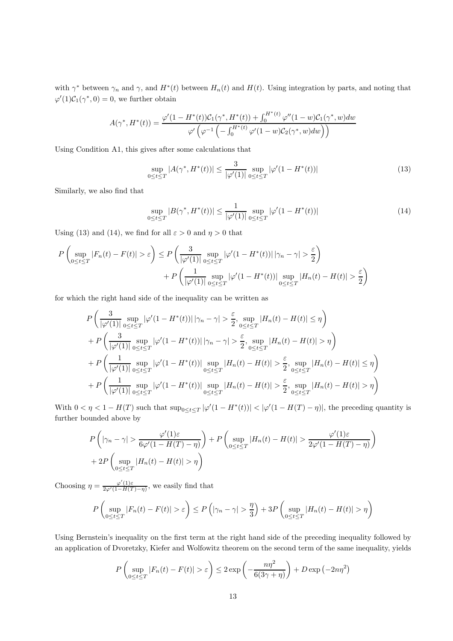with  $\gamma^*$  between  $\gamma_n$  and  $\gamma$ , and  $H^*(t)$  between  $H_n(t)$  and  $H(t)$ . Using integration by parts, and noting that  $\varphi'(1)\mathcal{C}_1(\gamma^*,0) = 0$ , we further obtain

$$
A(\gamma^*, H^*(t)) = \frac{\varphi'(1 - H^*(t))C_1(\gamma^*, H^*(t)) + \int_0^{H^*(t)} \varphi''(1 - w)C_1(\gamma^*, w)dw}{\varphi'\left(\varphi^{-1}\left(-\int_0^{H^*(t)} \varphi'(1 - w)C_2(\gamma^*, w)dw\right)\right)}
$$

Using Condition A1, this gives after some calculations that

$$
\sup_{0 \le t \le T} |A(\gamma^*, H^*(t))| \le \frac{3}{|\varphi'(1)|} \sup_{0 \le t \le T} |\varphi'(1 - H^*(t))| \tag{13}
$$

Similarly, we also find that

$$
\sup_{0 \le t \le T} |B(\gamma^*, H^*(t))| \le \frac{1}{|\varphi'(1)|} \sup_{0 \le t \le T} |\varphi'(1 - H^*(t))| \tag{14}
$$

Using (13) and (14), we find for all  $\varepsilon > 0$  and  $\eta > 0$  that

$$
P\left(\sup_{0\leq t\leq T}|F_n(t)-F(t)|>\varepsilon\right)\leq P\left(\frac{3}{|\varphi'(1)|}\sup_{0\leq t\leq T}|\varphi'(1-H^*(t))|\,|\gamma_n-\gamma|>\frac{\varepsilon}{2}\right)\\+P\left(\frac{1}{|\varphi'(1)|}\sup_{0\leq t\leq T}|\varphi'(1-H^*(t))|\sup_{0\leq t\leq T}|H_n(t)-H(t)|>\frac{\varepsilon}{2}\right)
$$

for which the right hand side of the inequality can be written as

$$
P\left(\frac{3}{|\varphi'(1)|}\sup_{0\leq t\leq T}|\varphi'(1-H^*(t))|\,|\gamma_n-\gamma|>\frac{\varepsilon}{2},\sup_{0\leq t\leq T}|H_n(t)-H(t)|\leq \eta\right) +P\left(\frac{3}{|\varphi'(1)|}\sup_{0\leq t\leq T}|\varphi'(1-H^*(t))|\,|\gamma_n-\gamma|>\frac{\varepsilon}{2},\sup_{0\leq t\leq T}|H_n(t)-H(t)|>\eta\right) +P\left(\frac{1}{|\varphi'(1)|}\sup_{0\leq t\leq T}|\varphi'(1-H^*(t))|\sup_{0\leq t\leq T}|H_n(t)-H(t)|>\frac{\varepsilon}{2},\sup_{0\leq t\leq T}|H_n(t)-H(t)|\leq \eta\right) +P\left(\frac{1}{|\varphi'(1)|}\sup_{0\leq t\leq T}|\varphi'(1-H^*(t))|\sup_{0\leq t\leq T}|H_n(t)-H(t)|>\frac{\varepsilon}{2},\sup_{0\leq t\leq T}|H_n(t)-H(t)|>\eta\right)
$$

With  $0 < \eta < 1 - H(T)$  such that  $\sup_{0 \le t \le T} |\varphi'(1 - H^*(t))| < |\varphi'(1 - H(T) - \eta)|$ , the preceding quantity is further bounded above by

$$
P\left(|\gamma_n - \gamma| > \frac{\varphi'(1)\varepsilon}{6\varphi'(1 - H(T) - \eta)}\right) + P\left(\sup_{0 \le t \le T} |H_n(t) - H(t)| > \frac{\varphi'(1)\varepsilon}{2\varphi'(1 - H(T) - \eta)}\right) + 2P\left(\sup_{0 \le t \le T} |H_n(t) - H(t)| > \eta\right)
$$

Choosing  $\eta = \frac{\varphi'(1)\varepsilon}{2\varphi'(1-H(T)-\eta)}$ , we easily find that

$$
P\left(\sup_{0\leq t\leq T}|F_n(t)-F(t)|>\varepsilon\right)\leq P\left(|\gamma_n-\gamma|>\frac{\eta}{3}\right)+3P\left(\sup_{0\leq t\leq T}|H_n(t)-H(t)|>\eta\right)
$$

Using Bernstein's inequality on the first term at the right hand side of the preceding inequality followed by an application of Dvoretzky, Kiefer and Wolfowitz theorem on the second term of the same inequality, yields

$$
P\left(\sup_{0\leq t\leq T}|F_n(t)-F(t)|>\varepsilon\right)\leq 2\exp\left(-\frac{n\eta^2}{6(3\gamma+\eta)}\right)+D\exp\left(-2n\eta^2\right)
$$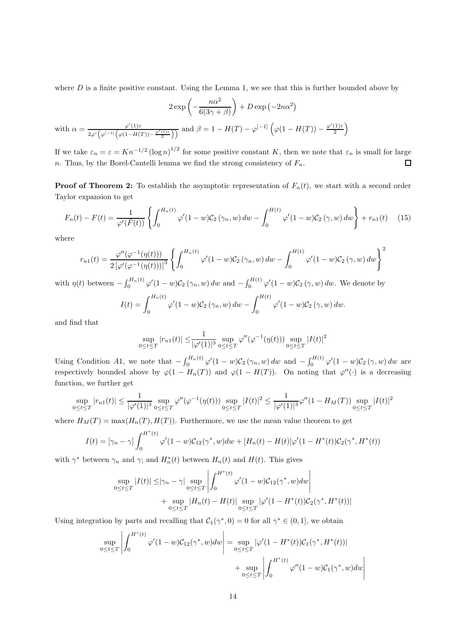where  $D$  is a finite positive constant. Using the Lemma 1, we see that this is further bounded above by

$$
2 \exp\left(-\frac{n\alpha^2}{6(3\gamma+\beta)}\right) + D \exp\left(-2n\alpha^2\right)
$$

with  $\alpha = \frac{\varphi'(1)\varepsilon}{\varphi'(1)(\alpha - \mu)}$  $\frac{\varphi'(1)\varepsilon}{2\varphi'\left(\varphi^{[-1]}\left(\varphi(1-H(T))-\frac{\varphi'(1)\varepsilon}{2}\right)\right)}$  and  $\beta=1-H(T)-\varphi^{[-1]}\left(\varphi(1-H(T))-\frac{\varphi'(1)\varepsilon}{2}\right)$  $\binom{1)\varepsilon}{2}$ 

If we take  $\varepsilon_n = \varepsilon = Kn^{-1/2} (\log n)^{1/2}$  for some positive constant K, then we note that  $\varepsilon_n$  is small for large n. Thus, by the Borel-Cantelli lemma we find the strong consistency of  $F_n$ .  $\Box$ 

**Proof of Theorem 2:** To establish the asymptotic representation of  $F_n(t)$ , we start with a second order Taylor expansion to get

$$
F_n(t) - F(t) = \frac{1}{\varphi'(\bar{F}(t))} \left\{ \int_0^{H_n(t)} \varphi'(1-w) \mathcal{C}_2(\gamma_n, w) \, dw - \int_0^{H(t)} \varphi'(1-w) \mathcal{C}_2(\gamma, w) \, dw \right\} + r_{n1}(t) \tag{15}
$$

where

$$
r_{n1}(t) = \frac{\varphi''(\varphi^{-1}(\eta(t)))}{2\left[\varphi'(\varphi^{-1}(\eta(t)))\right]^3} \left\{ \int_0^{H_n(t)} \varphi'(1-w) \mathcal{C}_2(\gamma_n, w) \, dw - \int_0^{H(t)} \varphi'(1-w) \mathcal{C}_2(\gamma, w) \, dw \right\}^2
$$

with  $\eta(t)$  between  $-\int_0^{H_n(t)} \varphi'(1-w) \mathcal{C}_2(\gamma_n, w) dw$  and  $-\int_0^{H(t)} \varphi'(1-w) \mathcal{C}_2(\gamma, w) dw$ . We denote by

$$
I(t) = \int_0^{H_n(t)} \varphi'(1-w) \mathcal{C}_2(\gamma_n, w) \, dw - \int_0^{H(t)} \varphi'(1-w) \mathcal{C}_2(\gamma, w) \, dw.
$$

and find that

$$
\sup_{0 \le t \le T} |r_{n1}(t)| \le \frac{1}{|\varphi'(1)|^3} \sup_{0 \le t \le T} \varphi''(\varphi^{-1}(\eta(t))) \sup_{0 \le t \le T} |I(t)|^2
$$

Using Condition A1, we note that  $-\int_0^{H_n(t)} \varphi'(1-w) \mathcal{C}_2(\gamma_n, w) dw$  and  $-\int_0^{H(t)} \varphi'(1-w) \mathcal{C}_2(\gamma, w) dw$  are respectively bounded above by  $\varphi(1 - H_n(T))$  and  $\varphi(1 - H(T))$ . On noting that  $\varphi''(\cdot)$  is a decreasing function, we further get

$$
\sup_{0 \le t \le T} |r_{n1}(t)| \le \frac{1}{|\varphi'(1)|^3} \sup_{0 \le t \le T} \varphi''(\varphi^{-1}(\eta(t))) \sup_{0 \le t \le T} |I(t)|^2 \le \frac{1}{|\varphi'(1)|^3} \varphi''(1 - H_M(T)) \sup_{0 \le t \le T} |I(t)|^2
$$

where  $H_M(T) = \max(H_n(T), H(T))$ . Furthermore, we use the mean value theorem to get

$$
I(t) = [\gamma_n - \gamma] \int_0^{H^*(t)} \varphi'(1 - w) C_{12}(\gamma^*, w) dw + [H_n(t) - H(t)] \varphi'(1 - H^*(t)) C_2(\gamma^*, H^*(t))
$$

with  $\gamma^*$  between  $\gamma_n$  and  $\gamma$ ; and  $H_n^*(t)$  between  $H_n(t)$  and  $H(t)$ . This gives

$$
\sup_{0 \le t \le T} |I(t)| \le |\gamma_n - \gamma| \sup_{0 \le t \le T} \left| \int_0^{H^*(t)} \varphi'(1-w) \mathcal{C}_{12}(\gamma^*, w) dw \right|
$$
  
+ 
$$
\sup_{0 \le t \le T} |H_n(t) - H(t)| \sup_{0 \le t \le T} |\varphi'(1 - H^*(t)) \mathcal{C}_2(\gamma^*, H^*(t))|
$$

Using integration by parts and recalling that  $C_1(\gamma^*,0) = 0$  for all  $\gamma^* \in (0,1]$ , we obtain

$$
\sup_{0 \le t \le T} \left| \int_0^{H^*(t)} \varphi'(1-w) C_{12}(\gamma^*, w) dw \right| = \sup_{0 \le t \le T} |\varphi'(1 - H^*(t))C_1(\gamma^*, H^*(t))| + \sup_{0 \le t \le T} \left| \int_0^{H^*(t)} \varphi''(1 - w) C_1(\gamma^*, w) dw \right|
$$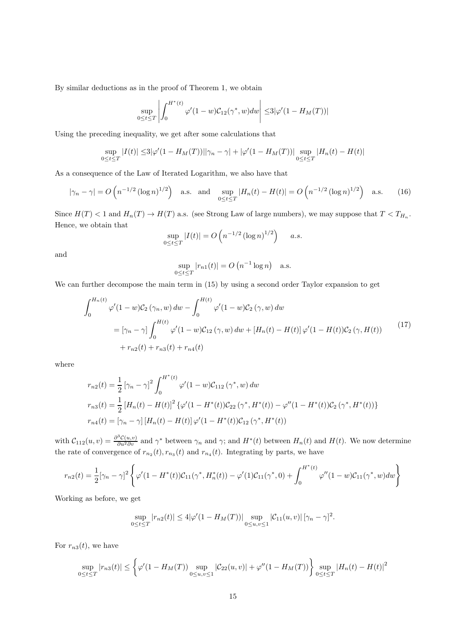By similar deductions as in the proof of Theorem 1, we obtain

$$
\sup_{0\leq t\leq T}\left|\int_{0}^{H^*(t)}\varphi'(1-w)\mathcal{C}_{12}(\gamma^*,w)dw\right|\leq 3|\varphi'(1-H_M(T))|
$$

Using the preceding inequality, we get after some calculations that

$$
\sup_{0 \le t \le T} |I(t)| \le 3|\varphi'(1 - H_M(T))||\gamma_n - \gamma| + |\varphi'(1 - H_M(T))| \sup_{0 \le t \le T} |H_n(t) - H(t)|
$$

As a consequence of the Law of Iterated Logarithm, we also have that

$$
|\gamma_n - \gamma| = O\left(n^{-1/2} \left(\log n\right)^{1/2}\right) \quad \text{a.s.} \quad \text{and} \quad \sup_{0 \le t \le T} |H_n(t) - H(t)| = O\left(n^{-1/2} \left(\log n\right)^{1/2}\right) \quad \text{a.s.} \tag{16}
$$

Since  $H(T) < 1$  and  $H_n(T) \to H(T)$  a.s. (see Strong Law of large numbers), we may suppose that  $T < T_{H_n}$ . Hence, we obtain that

$$
\sup_{0 \le t \le T} |I(t)| = O\left(n^{-1/2} (\log n)^{1/2}\right) \quad a.s.
$$

and

$$
\sup_{0 \le t \le T} |r_{n1}(t)| = O\left(n^{-1} \log n\right) \quad \text{a.s.}
$$

We can further decompose the main term in  $(15)$  by using a second order Taylor expansion to get

$$
\int_{0}^{H_{n}(t)} \varphi'(1-w)\mathcal{C}_{2}(\gamma_{n},w) \, dw - \int_{0}^{H(t)} \varphi'(1-w)\mathcal{C}_{2}(\gamma,w) \, dw
$$
\n
$$
= [\gamma_{n} - \gamma] \int_{0}^{H(t)} \varphi'(1-w)\mathcal{C}_{12}(\gamma,w) \, dw + [H_{n}(t) - H(t)] \varphi'(1-H(t))\mathcal{C}_{2}(\gamma,H(t)) \qquad (17)
$$
\n
$$
+ r_{n2}(t) + r_{n3}(t) + r_{n4}(t)
$$

where

$$
r_{n2}(t) = \frac{1}{2} \left[ \gamma_n - \gamma \right]^2 \int_0^{H^*(t)} \varphi'(1 - w) \mathcal{C}_{112} \left( \gamma^*, w \right) dw
$$
  
\n
$$
r_{n3}(t) = \frac{1}{2} \left[ H_n(t) - H(t) \right]^2 \{ \varphi'(1 - H^*(t)) \mathcal{C}_{22} \left( \gamma^*, H^*(t) \right) - \varphi''(1 - H^*(t)) \mathcal{C}_2 \left( \gamma^*, H^*(t) \right) \}
$$
  
\n
$$
r_{n4}(t) = \left[ \gamma_n - \gamma \right] \left[ H_n(t) - H(t) \right] \varphi'(1 - H^*(t)) \mathcal{C}_{12} \left( \gamma^*, H^*(t) \right)
$$

with  $C_{112}(u, v) = \frac{\partial^3 C(u, v)}{\partial u^2 \partial v}$  and  $\gamma^*$  between  $\gamma_n$  and  $\gamma$ ; and  $H^*(t)$  between  $H_n(t)$  and  $H(t)$ . We now determine the rate of convergence of  $r_{n_2}(t)$ ,  $r_{n_3}(t)$  and  $r_{n_4}(t)$ . Integrating by parts, we have

$$
r_{n2}(t) = \frac{1}{2} [\gamma_n - \gamma]^2 \left\{ \varphi'(1 - H^*(t)) \mathcal{C}_{11}(\gamma^*, H_n^*(t)) - \varphi'(1) \mathcal{C}_{11}(\gamma^*, 0) + \int_0^{H^*(t)} \varphi''(1 - w) \mathcal{C}_{11}(\gamma^*, w) dw \right\}
$$

Working as before, we get

$$
\sup_{0 \le t \le T} |r_{n2}(t)| \le 4|\varphi'(1 - H_M(T))| \sup_{0 \le u, v \le 1} |\mathcal{C}_{11}(u, v)| \, [\gamma_n - \gamma]^2.
$$

For  $r_{n3}(t)$ , we have

$$
\sup_{0 \le t \le T} |r_{n3}(t)| \le \left\{ \varphi'(1 - H_M(T)) \sup_{0 \le u,v \le 1} |\mathcal{C}_{22}(u,v)| + \varphi''(1 - H_M(T)) \right\} \sup_{0 \le t \le T} |H_n(t) - H(t)|^2
$$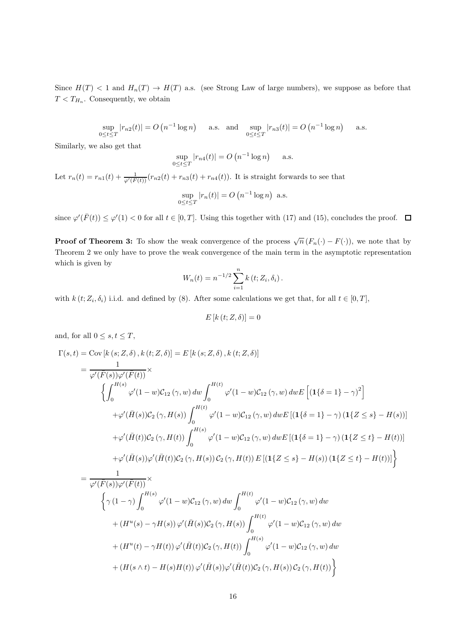Since  $H(T) < 1$  and  $H_n(T) \to H(T)$  a.s. (see Strong Law of large numbers), we suppose as before that  $T < T_{H_n}$ . Consequently, we obtain

$$
\sup_{0 \le t \le T} |r_{n2}(t)| = O\left(n^{-1} \log n\right) \quad \text{ a.s.} \quad \text{and} \quad \sup_{0 \le t \le T} |r_{n3}(t)| = O\left(n^{-1} \log n\right) \quad \text{ a.s.}
$$

Similarly, we also get that

$$
\sup_{0 \le t \le T} |r_{n4}(t)| = O\left(n^{-1} \log n\right) \quad \text{a.s.}
$$

Let  $r_n(t) = r_{n1}(t) + \frac{1}{\varphi'(F(t))}(r_{n2}(t) + r_{n3}(t) + r_{n4}(t)).$  It is straight forwards to see that

$$
\sup_{0 \le t \le T} |r_n(t)| = O\left(n^{-1} \log n\right) \text{ a.s.}
$$

since  $\varphi'(\bar{F}(t)) \le \varphi'(1) < 0$  for all  $t \in [0, T]$ . Using this together with (17) and (15), concludes the proof.

**Proof of Theorem 3:** To show the weak convergence of the process  $\sqrt{n}(F_n(\cdot) - F(\cdot))$ , we note that by Theorem 2 we only have to prove the weak convergence of the main term in the asymptotic representation which is given by

$$
W_n(t) = n^{-1/2} \sum_{i=1}^n k(t; Z_i, \delta_i).
$$

with  $k(t; Z_i, \delta_i)$  i.i.d. and defined by (8). After some calculations we get that, for all  $t \in [0, T]$ ,

$$
E\left[k\left(t;Z,\delta\right)\right]=0
$$

and, for all  $0 \leq s, t \leq T$ ,

$$
\Gamma(s,t) = \text{Cov}[k(s; Z, \delta), k(t; Z, \delta)] = E[k(s; Z, \delta), k(t; Z, \delta)]
$$
  
\n
$$
= \frac{1}{\varphi'(\bar{F}(s))\varphi'(\bar{F}(t))} \times
$$
  
\n
$$
\left\{ \int_0^{H(s)} \varphi'(1-w)C_{12}(\gamma, w) dw \int_0^{H(t)} \varphi'(1-w)C_{12}(\gamma, w) dw E [(1{\delta} = 1) - {\gamma})^2 \right\}
$$
  
\n
$$
+ \varphi'(\bar{H}(s))C_2(\gamma, H(s)) \int_0^{H(t)} \varphi'(1-w)C_{12}(\gamma, w) dw E [(1{\delta} = 1) - {\gamma}) (1{Z \le s} - H(s))]
$$
  
\n
$$
+ \varphi'(\bar{H}(t))C_2(\gamma, H(t)) \int_0^{H(s)} \varphi'(1-w)C_{12}(\gamma, w) dw E [(1{\delta} = 1) - {\gamma}) (1{Z \le t} - H(t))]
$$
  
\n
$$
+ \varphi'(\bar{H}(s))\varphi'(\bar{H}(t))C_2(\gamma, H(s)) C_2(\gamma, H(t)) E [(1{Z \le s} - H(s)) (1{Z \le t} - H(t))]
$$
  
\n
$$
= \frac{1}{\varphi'(\bar{F}(s))\varphi'(\bar{F}(t))} \times
$$
  
\n
$$
\left\{ \gamma (1 - {\gamma}) \int_0^{H(s)} \varphi'(1-w)C_{12}(\gamma, w) dw \int_0^{H(t)} \varphi'(1-w)C_{12}(\gamma, w) dw
$$
  
\n
$$
+ (H^u(s) - {\gamma}H(s)) \varphi'(\bar{H}(s))C_2(\gamma, H(s)) \int_0^{H(t)} \varphi'(1-w)C_{12}(\gamma, w) dw
$$
  
\n
$$
+ (H^u(t) - {\gamma}H(t)) \varphi'(\bar{H}(t))C_2(\gamma, H(t)) \int_0^{H(s)} \varphi'(1-w)C_{12}(\gamma, w) dw
$$

 $+\left(H(s\wedge t)-H(s)H(t)\right)\varphi'(\bar{H}(s))\varphi'(\bar{H}(t))\mathcal{C}_2\left(\gamma,H(s)\right)\mathcal{C}_2\left(\gamma,H(t)\right)\bigg\}$